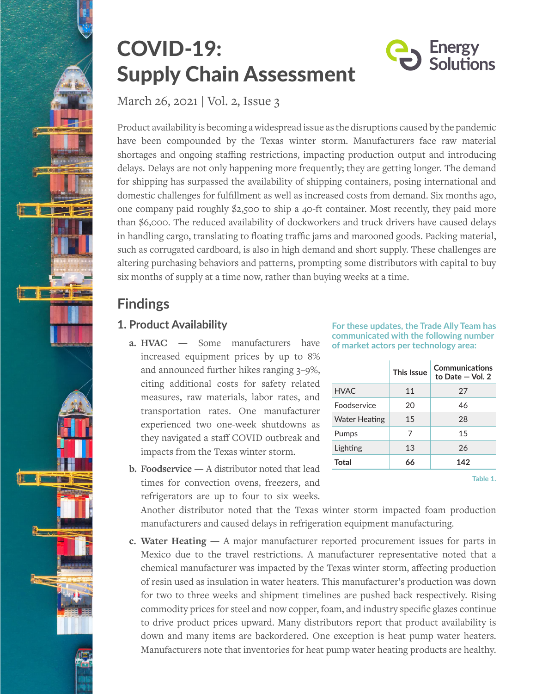

# COVID-19: Supply Chain Assessment

March 26, 2021 | Vol. 2, Issue 3

Product availability is becoming a widespread issue as the disruptions caused by the pandemic have been compounded by the Texas winter storm. Manufacturers face raw material shortages and ongoing staffing restrictions, impacting production output and introducing delays. Delays are not only happening more frequently; they are getting longer. The demand for shipping has surpassed the availability of shipping containers, posing international and domestic challenges for fulfillment as well as increased costs from demand. Six months ago, one company paid roughly \$2,500 to ship a 40-ft container. Most recently, they paid more than \$6,000. The reduced availability of dockworkers and truck drivers have caused delays in handling cargo, translating to floating traffic jams and marooned goods. Packing material, such as corrugated cardboard, is also in high demand and short supply. These challenges are altering purchasing behaviors and patterns, prompting some distributors with capital to buy six months of supply at a time now, rather than buying weeks at a time.

# **Findings**

## **1. Product Availability**

- **a. HVAC** Some manufacturers have increased equipment prices by up to 8% and announced further hikes ranging 3–9%, citing additional costs for safety related measures, raw materials, labor rates, and transportation rates. One manufacturer experienced two one-week shutdowns as they navigated a staff COVID outbreak and impacts from the Texas winter storm.
- **b. Foodservice —** A distributor noted that lead times for convection ovens, freezers, and refrigerators are up to four to six weeks.

**For these updates, the Trade Ally Team has communicated with the following number of market actors per technology area:**

**Energy** Solutions

|                      | This Issue | Communications<br>to Date $-$ Vol. 2 |
|----------------------|------------|--------------------------------------|
| <b>HVAC</b>          | 11         | 27                                   |
| <b>Foodservice</b>   | 20         | 46                                   |
| <b>Water Heating</b> | 15         | 28                                   |
| Pumps                | 7          | 15                                   |
| Lighting             | 13         | 26                                   |
| <b>Total</b>         | 66         | 142                                  |
|                      |            |                                      |

**Table 1.**

Another distributor noted that the Texas winter storm impacted foam production manufacturers and caused delays in refrigeration equipment manufacturing.

**c. Water Heating —** A major manufacturer reported procurement issues for parts in Mexico due to the travel restrictions. A manufacturer representative noted that a chemical manufacturer was impacted by the Texas winter storm, affecting production of resin used as insulation in water heaters. This manufacturer's production was down for two to three weeks and shipment timelines are pushed back respectively. Rising commodity prices for steel and now copper, foam, and industry specific glazes continue to drive product prices upward. Many distributors report that product availability is down and many items are backordered. One exception is heat pump water heaters. Manufacturers note that inventories for heat pump water heating products are healthy.